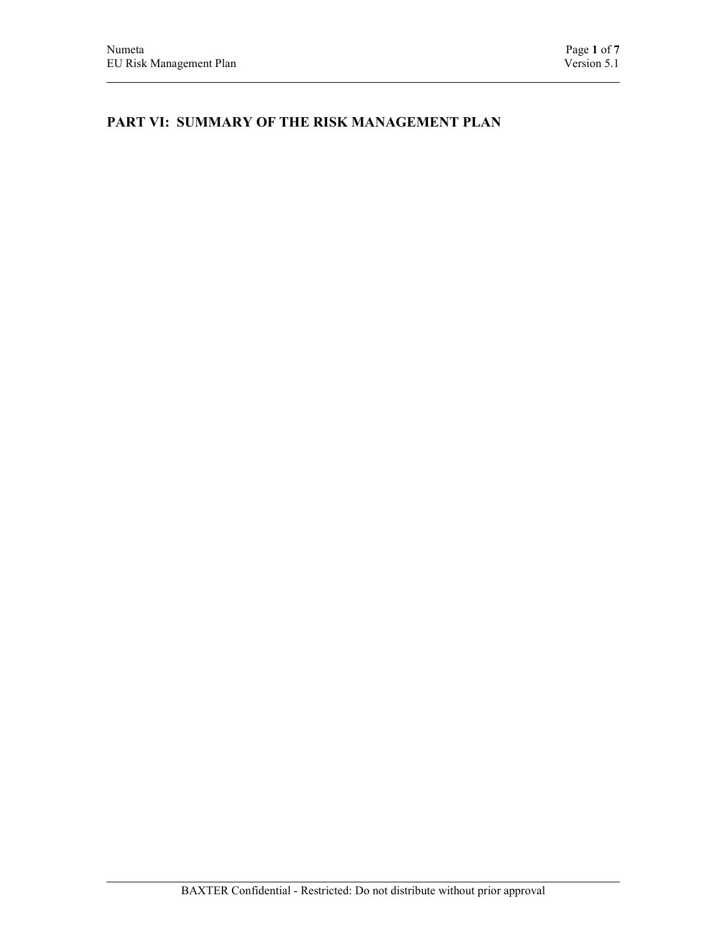# PART VI: SUMMARY OF THE RISK MANAGEMENT PLAN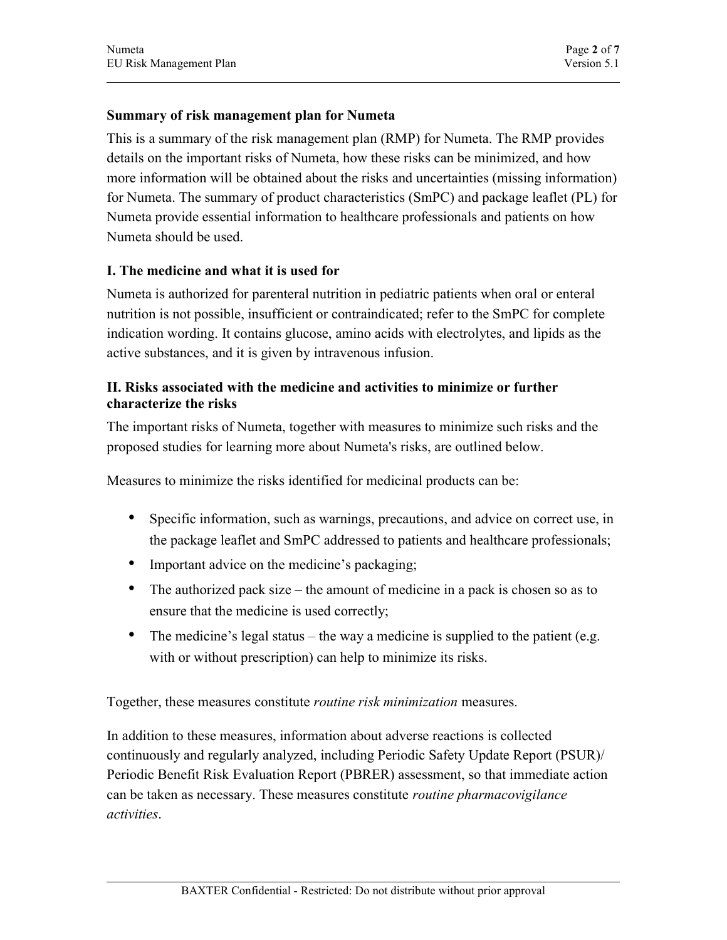## Summary of risk management plan for Numeta

This is a summary of the risk management plan (RMP) for Numeta. The RMP provides details on the important risks of Numeta, how these risks can be minimized, and how more information will be obtained about the risks and uncertainties (missing information) for Numeta. The summary of product characteristics (SmPC) and package leaflet (PL) for Numeta provide essential information to healthcare professionals and patients on how Numeta should be used.

## I. The medicine and what it is used for

Numeta is authorized for parenteral nutrition in pediatric patients when oral or enteral nutrition is not possible, insufficient or contraindicated; refer to the SmPC for complete indication wording. It contains glucose, amino acids with electrolytes, and lipids as the active substances, and it is given by intravenous infusion.

## II. Risks associated with the medicine and activities to minimize or further characterize the risks

The important risks of Numeta, together with measures to minimize such risks and the proposed studies for learning more about Numeta's risks, are outlined below.

Measures to minimize the risks identified for medicinal products can be:

- Specific information, such as warnings, precautions, and advice on correct use, in the package leaflet and SmPC addressed to patients and healthcare professionals;
- Important advice on the medicine's packaging;
- The authorized pack size the amount of medicine in a pack is chosen so as to ensure that the medicine is used correctly;
- The medicine's legal status the way a medicine is supplied to the patient (e.g. with or without prescription) can help to minimize its risks.

Together, these measures constitute routine risk minimization measures.

In addition to these measures, information about adverse reactions is collected continuously and regularly analyzed, including Periodic Safety Update Report (PSUR)/ Periodic Benefit Risk Evaluation Report (PBRER) assessment, so that immediate action can be taken as necessary. These measures constitute routine pharmacovigilance activities.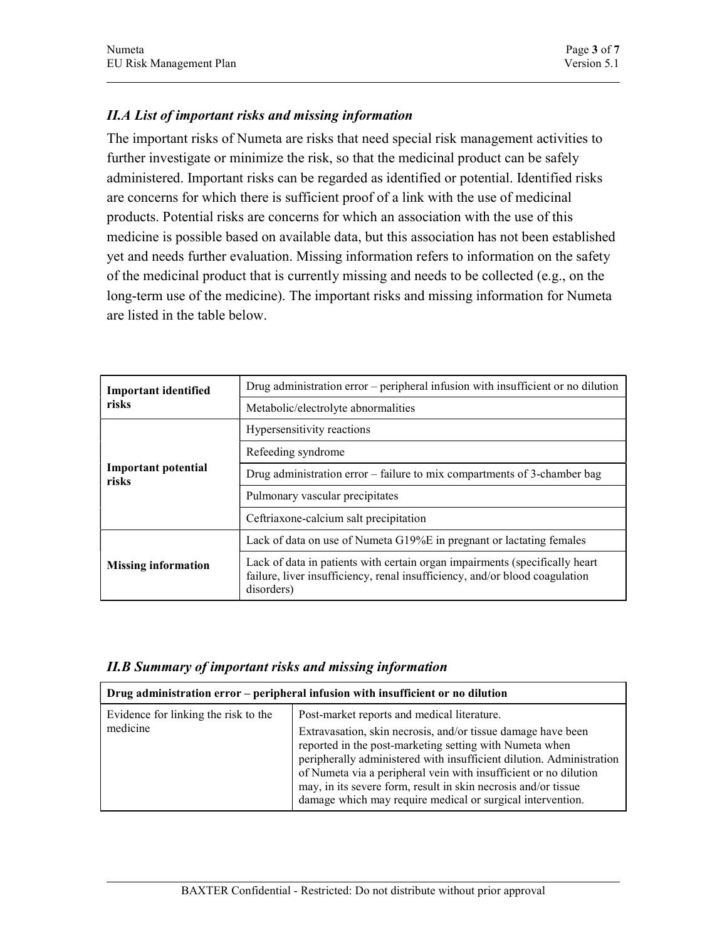## II.A List of important risks and missing information

The important risks of Numeta are risks that need special risk management activities to further investigate or minimize the risk, so that the medicinal product can be safely administered. Important risks can be regarded as identified or potential. Identified risks are concerns for which there is sufficient proof of a link with the use of medicinal products. Potential risks are concerns for which an association with the use of this medicine is possible based on available data, but this association has not been established yet and needs further evaluation. Missing information refers to information on the safety of the medicinal product that is currently missing and needs to be collected (e.g., on the long-term use of the medicine). The important risks and missing information for Numeta are listed in the table below.

| <b>Important identified</b>         | Drug administration error – peripheral infusion with insufficient or no dilution                                                                                         |  |
|-------------------------------------|--------------------------------------------------------------------------------------------------------------------------------------------------------------------------|--|
| risks                               | Metabolic/electrolyte abnormalities                                                                                                                                      |  |
|                                     | Hypersensitivity reactions                                                                                                                                               |  |
|                                     | Refeeding syndrome                                                                                                                                                       |  |
| <b>Important potential</b><br>risks | Drug administration error $-$ failure to mix compartments of 3-chamber bag                                                                                               |  |
|                                     | Pulmonary vascular precipitates                                                                                                                                          |  |
|                                     | Ceftriaxone-calcium salt precipitation                                                                                                                                   |  |
|                                     | Lack of data on use of Numeta G19%E in pregnant or lactating females                                                                                                     |  |
| <b>Missing information</b>          | Lack of data in patients with certain organ impairments (specifically heart<br>failure, liver insufficiency, renal insufficiency, and/or blood coagulation<br>disorders) |  |

| <b>II.B Summary of important risks and missing information</b> |  |  |  |  |
|----------------------------------------------------------------|--|--|--|--|
|                                                                |  |  |  |  |

| Drug administration error – peripheral infusion with insufficient or no dilution |                                                                                                                                                                                                                                                                                                                                                                                                                                                    |  |
|----------------------------------------------------------------------------------|----------------------------------------------------------------------------------------------------------------------------------------------------------------------------------------------------------------------------------------------------------------------------------------------------------------------------------------------------------------------------------------------------------------------------------------------------|--|
| Evidence for linking the risk to the<br>medicine                                 | Post-market reports and medical literature.<br>Extravasation, skin necrosis, and/or tissue damage have been<br>reported in the post-marketing setting with Numeta when<br>peripherally administered with insufficient dilution. Administration<br>of Numeta via a peripheral vein with insufficient or no dilution<br>may, in its severe form, result in skin necrosis and/or tissue<br>damage which may require medical or surgical intervention. |  |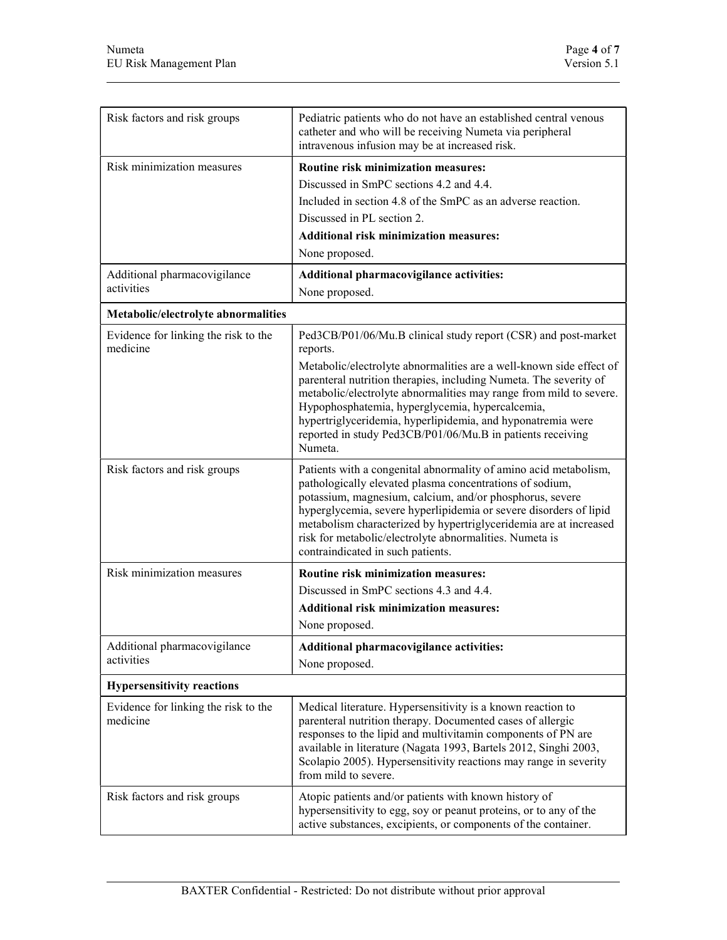| Risk factors and risk groups                     | Pediatric patients who do not have an established central venous<br>catheter and who will be receiving Numeta via peripheral<br>intravenous infusion may be at increased risk.                                                                                                                                                                                                                                                                                                          |
|--------------------------------------------------|-----------------------------------------------------------------------------------------------------------------------------------------------------------------------------------------------------------------------------------------------------------------------------------------------------------------------------------------------------------------------------------------------------------------------------------------------------------------------------------------|
| Risk minimization measures                       | Routine risk minimization measures:<br>Discussed in SmPC sections 4.2 and 4.4.<br>Included in section 4.8 of the SmPC as an adverse reaction.<br>Discussed in PL section 2.<br><b>Additional risk minimization measures:</b><br>None proposed.                                                                                                                                                                                                                                          |
| Additional pharmacovigilance<br>activities       | Additional pharmacovigilance activities:<br>None proposed.                                                                                                                                                                                                                                                                                                                                                                                                                              |
| Metabolic/electrolyte abnormalities              |                                                                                                                                                                                                                                                                                                                                                                                                                                                                                         |
| Evidence for linking the risk to the<br>medicine | Ped3CB/P01/06/Mu.B clinical study report (CSR) and post-market<br>reports.<br>Metabolic/electrolyte abnormalities are a well-known side effect of<br>parenteral nutrition therapies, including Numeta. The severity of<br>metabolic/electrolyte abnormalities may range from mild to severe.<br>Hypophosphatemia, hyperglycemia, hypercalcemia,<br>hypertriglyceridemia, hyperlipidemia, and hyponatremia were<br>reported in study Ped3CB/P01/06/Mu.B in patients receiving<br>Numeta. |
| Risk factors and risk groups                     | Patients with a congenital abnormality of amino acid metabolism,<br>pathologically elevated plasma concentrations of sodium,<br>potassium, magnesium, calcium, and/or phosphorus, severe<br>hyperglycemia, severe hyperlipidemia or severe disorders of lipid<br>metabolism characterized by hypertriglyceridemia are at increased<br>risk for metabolic/electrolyte abnormalities. Numeta is<br>contraindicated in such patients.                                                      |
| Risk minimization measures                       | Routine risk minimization measures:<br>Discussed in SmPC sections 4.3 and 4.4.<br><b>Additional risk minimization measures:</b><br>None proposed.                                                                                                                                                                                                                                                                                                                                       |
| Additional pharmacovigilance<br>activities       | Additional pharmacovigilance activities:<br>None proposed.                                                                                                                                                                                                                                                                                                                                                                                                                              |
| <b>Hypersensitivity reactions</b>                |                                                                                                                                                                                                                                                                                                                                                                                                                                                                                         |
| Evidence for linking the risk to the<br>medicine | Medical literature. Hypersensitivity is a known reaction to<br>parenteral nutrition therapy. Documented cases of allergic<br>responses to the lipid and multivitamin components of PN are<br>available in literature (Nagata 1993, Bartels 2012, Singhi 2003,<br>Scolapio 2005). Hypersensitivity reactions may range in severity<br>from mild to severe.                                                                                                                               |
| Risk factors and risk groups                     | Atopic patients and/or patients with known history of<br>hypersensitivity to egg, soy or peanut proteins, or to any of the<br>active substances, excipients, or components of the container.                                                                                                                                                                                                                                                                                            |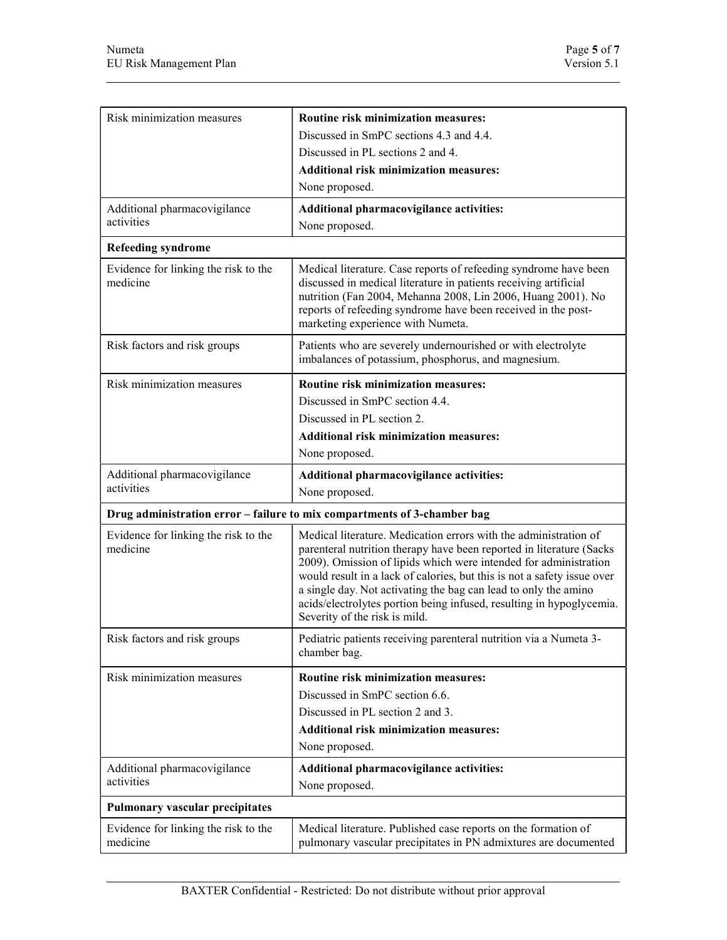| Risk minimization measures                       | Routine risk minimization measures:                                                                                                                                                                                                                                                                                                                                                                                                                                 |
|--------------------------------------------------|---------------------------------------------------------------------------------------------------------------------------------------------------------------------------------------------------------------------------------------------------------------------------------------------------------------------------------------------------------------------------------------------------------------------------------------------------------------------|
|                                                  | Discussed in SmPC sections 4.3 and 4.4.                                                                                                                                                                                                                                                                                                                                                                                                                             |
|                                                  | Discussed in PL sections 2 and 4.                                                                                                                                                                                                                                                                                                                                                                                                                                   |
|                                                  | <b>Additional risk minimization measures:</b>                                                                                                                                                                                                                                                                                                                                                                                                                       |
|                                                  | None proposed.                                                                                                                                                                                                                                                                                                                                                                                                                                                      |
| Additional pharmacovigilance                     | Additional pharmacovigilance activities:                                                                                                                                                                                                                                                                                                                                                                                                                            |
| activities                                       | None proposed.                                                                                                                                                                                                                                                                                                                                                                                                                                                      |
| <b>Refeeding syndrome</b>                        |                                                                                                                                                                                                                                                                                                                                                                                                                                                                     |
| Evidence for linking the risk to the<br>medicine | Medical literature. Case reports of refeeding syndrome have been<br>discussed in medical literature in patients receiving artificial<br>nutrition (Fan 2004, Mehanna 2008, Lin 2006, Huang 2001). No<br>reports of refeeding syndrome have been received in the post-<br>marketing experience with Numeta.                                                                                                                                                          |
| Risk factors and risk groups                     | Patients who are severely undernourished or with electrolyte<br>imbalances of potassium, phosphorus, and magnesium.                                                                                                                                                                                                                                                                                                                                                 |
| Risk minimization measures                       | Routine risk minimization measures:                                                                                                                                                                                                                                                                                                                                                                                                                                 |
|                                                  | Discussed in SmPC section 4.4.                                                                                                                                                                                                                                                                                                                                                                                                                                      |
|                                                  | Discussed in PL section 2.                                                                                                                                                                                                                                                                                                                                                                                                                                          |
|                                                  | <b>Additional risk minimization measures:</b>                                                                                                                                                                                                                                                                                                                                                                                                                       |
|                                                  | None proposed.                                                                                                                                                                                                                                                                                                                                                                                                                                                      |
| Additional pharmacovigilance                     | Additional pharmacovigilance activities:                                                                                                                                                                                                                                                                                                                                                                                                                            |
| activities                                       | None proposed.                                                                                                                                                                                                                                                                                                                                                                                                                                                      |
|                                                  | Drug administration error – failure to mix compartments of 3-chamber bag                                                                                                                                                                                                                                                                                                                                                                                            |
| Evidence for linking the risk to the<br>medicine | Medical literature. Medication errors with the administration of<br>parenteral nutrition therapy have been reported in literature (Sacks<br>2009). Omission of lipids which were intended for administration<br>would result in a lack of calories, but this is not a safety issue over<br>a single day. Not activating the bag can lead to only the amino<br>acids/electrolytes portion being infused, resulting in hypoglycemia.<br>Severity of the risk is mild. |
| Risk factors and risk groups                     | Pediatric patients receiving parenteral nutrition via a Numeta 3-<br>chamber bag.                                                                                                                                                                                                                                                                                                                                                                                   |
| Risk minimization measures                       | Routine risk minimization measures:<br>Discussed in SmPC section 6.6.<br>Discussed in PL section 2 and 3.<br><b>Additional risk minimization measures:</b><br>None proposed.                                                                                                                                                                                                                                                                                        |
| Additional pharmacovigilance<br>activities       | Additional pharmacovigilance activities:<br>None proposed.                                                                                                                                                                                                                                                                                                                                                                                                          |
| Pulmonary vascular precipitates                  |                                                                                                                                                                                                                                                                                                                                                                                                                                                                     |
| Evidence for linking the risk to the<br>medicine | Medical literature. Published case reports on the formation of<br>pulmonary vascular precipitates in PN admixtures are documented                                                                                                                                                                                                                                                                                                                                   |
|                                                  |                                                                                                                                                                                                                                                                                                                                                                                                                                                                     |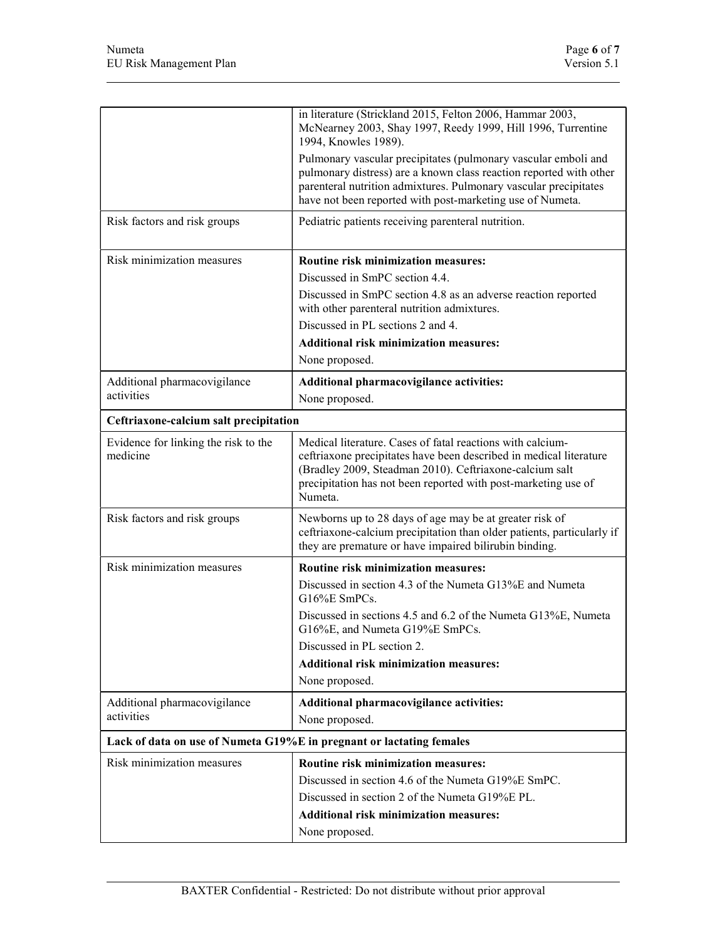|                                                  | in literature (Strickland 2015, Felton 2006, Hammar 2003,<br>McNearney 2003, Shay 1997, Reedy 1999, Hill 1996, Turrentine<br>1994, Knowles 1989).                                                                                                                        |
|--------------------------------------------------|--------------------------------------------------------------------------------------------------------------------------------------------------------------------------------------------------------------------------------------------------------------------------|
|                                                  | Pulmonary vascular precipitates (pulmonary vascular emboli and<br>pulmonary distress) are a known class reaction reported with other<br>parenteral nutrition admixtures. Pulmonary vascular precipitates<br>have not been reported with post-marketing use of Numeta.    |
| Risk factors and risk groups                     | Pediatric patients receiving parenteral nutrition.                                                                                                                                                                                                                       |
| Risk minimization measures                       | Routine risk minimization measures:                                                                                                                                                                                                                                      |
|                                                  | Discussed in SmPC section 4.4.                                                                                                                                                                                                                                           |
|                                                  | Discussed in SmPC section 4.8 as an adverse reaction reported<br>with other parenteral nutrition admixtures.                                                                                                                                                             |
|                                                  | Discussed in PL sections 2 and 4.                                                                                                                                                                                                                                        |
|                                                  | <b>Additional risk minimization measures:</b>                                                                                                                                                                                                                            |
|                                                  | None proposed.                                                                                                                                                                                                                                                           |
| Additional pharmacovigilance                     | Additional pharmacovigilance activities:                                                                                                                                                                                                                                 |
| activities                                       | None proposed.                                                                                                                                                                                                                                                           |
| Ceftriaxone-calcium salt precipitation           |                                                                                                                                                                                                                                                                          |
| Evidence for linking the risk to the<br>medicine | Medical literature. Cases of fatal reactions with calcium-<br>ceftriaxone precipitates have been described in medical literature<br>(Bradley 2009, Steadman 2010). Ceftriaxone-calcium salt<br>precipitation has not been reported with post-marketing use of<br>Numeta. |
| Risk factors and risk groups                     | Newborns up to 28 days of age may be at greater risk of<br>ceftriaxone-calcium precipitation than older patients, particularly if<br>they are premature or have impaired bilirubin binding.                                                                              |
| Risk minimization measures                       | Routine risk minimization measures:                                                                                                                                                                                                                                      |
|                                                  | Discussed in section 4.3 of the Numeta G13%E and Numeta<br>$G16\%E$ SmPCs.                                                                                                                                                                                               |
|                                                  | Discussed in sections 4.5 and 6.2 of the Numeta G13%E, Numeta<br>G16%E, and Numeta G19%E SmPCs.                                                                                                                                                                          |
|                                                  | Discussed in PL section 2.                                                                                                                                                                                                                                               |
|                                                  | <b>Additional risk minimization measures:</b>                                                                                                                                                                                                                            |
|                                                  | None proposed.                                                                                                                                                                                                                                                           |
| Additional pharmacovigilance                     | Additional pharmacovigilance activities:                                                                                                                                                                                                                                 |
| activities                                       | None proposed.                                                                                                                                                                                                                                                           |
|                                                  | Lack of data on use of Numeta G19%E in pregnant or lactating females                                                                                                                                                                                                     |
| Risk minimization measures                       | Routine risk minimization measures:                                                                                                                                                                                                                                      |
|                                                  | Discussed in section 4.6 of the Numeta G19%E SmPC.                                                                                                                                                                                                                       |
|                                                  | Discussed in section 2 of the Numeta G19%E PL.                                                                                                                                                                                                                           |
|                                                  | <b>Additional risk minimization measures:</b>                                                                                                                                                                                                                            |
|                                                  | None proposed.                                                                                                                                                                                                                                                           |